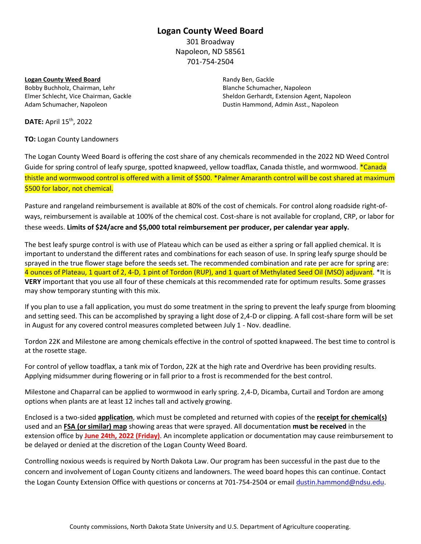#### **Logan County Weed Board**

301 Broadway Napoleon, ND 58561 701-754-2504

**Logan County Weed Board** Bobby Buchholz, Chairman, Lehr Elmer Schlecht, Vice Chairman, Gackle Adam Schumacher, Napoleon

Randy Ben, Gackle Blanche Schumacher, Napoleon Sheldon Gerhardt, Extension Agent, Napoleon Dustin Hammond, Admin Asst., Napoleon

**DATE:** April 15th, 2022

**TO:** Logan County Landowners

The Logan County Weed Board is offering the cost share of any chemicals recommended in the 2022 ND Weed Control Guide for spring control of leafy spurge, spotted knapweed, yellow toadflax, Canada thistle, and wormwood. \*Canada thistle and wormwood control is offered with a limit of \$500. \*Palmer Amaranth control will be cost shared at maximum \$500 for labor, not chemical.

Pasture and rangeland reimbursement is available at 80% of the cost of chemicals. For control along roadside right-ofways, reimbursement is available at 100% of the chemical cost. Cost-share is not available for cropland, CRP, or labor for these weeds. **Limits of \$24/acre and \$5,000 total reimbursement per producer, per calendar year apply.**

The best leafy spurge control is with use of Plateau which can be used as either a spring or fall applied chemical. It is important to understand the different rates and combinations for each season of use. In spring leafy spurge should be sprayed in the true flower stage before the seeds set. The recommended combination and rate per acre for spring are: 4 ounces of Plateau, 1 quart of 2, 4-D, 1 pint of Tordon (RUP), and 1 quart of Methylated Seed Oil (MSO) adjuvant. \*It is **VERY** important that you use all four of these chemicals at this recommended rate for optimum results. Some grasses may show temporary stunting with this mix.

If you plan to use a fall application, you must do some treatment in the spring to prevent the leafy spurge from blooming and setting seed. This can be accomplished by spraying a light dose of 2,4-D or clipping. A fall cost-share form will be set in August for any covered control measures completed between July 1 - Nov. deadline.

Tordon 22K and Milestone are among chemicals effective in the control of spotted knapweed. The best time to control is at the rosette stage.

For control of yellow toadflax, a tank mix of Tordon, 22K at the high rate and Overdrive has been providing results. Applying midsummer during flowering or in fall prior to a frost is recommended for the best control.

Milestone and Chaparral can be applied to wormwood in early spring. 2,4-D, Dicamba, Curtail and Tordon are among options when plants are at least 12 inches tall and actively growing.

Enclosed is a two-sided **application**, which must be completed and returned with copies of the **receipt for chemical(s)** used and an **FSA (or similar) map** showing areas that were sprayed. All documentation **must be received** in the extension office by **June 24th, 2022 (Friday)**. An incomplete application or documentation may cause reimbursement to be delayed or denied at the discretion of the Logan County Weed Board.

Controlling noxious weeds is required by North Dakota Law. Our program has been successful in the past due to the concern and involvement of Logan County citizens and landowners. The weed board hopes this can continue. Contact the Logan County Extension Office with questions or concerns at 701-754-2504 or email [dustin.hammond@ndsu.edu.](mailto:dustin.hammond@ndsu.edu)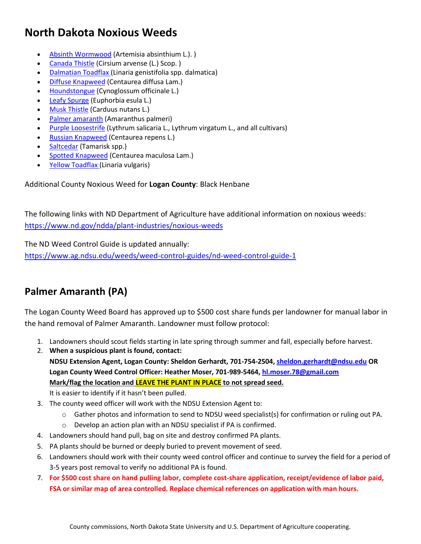# **North Dakota Noxious Weeds**

- [Absinth Wormwood](https://www.nd.gov/ndda/plant-industries/noxious-weeds/absinth-wormwood) (Artemisia absinthium L.). )
- **[Canada Thistle](https://www.nd.gov/ndda/plant-industries/noxious-weeds/canada-thistle) (Cirsium arvense (L.) Scop.)**
- [Dalmatian Toadflax](https://www.nd.gov/ndda/plant-industries/noxious-weeds/dalmatian-toadflax) (Linaria genistifolia spp. dalmatica)
- [Diffuse Knapweed](https://www.nd.gov/ndda/plant-industries/noxious-weeds/diffuse-knapweed) (Centaurea diffusa Lam.)
- [Houndstongue](https://www.ag.ndsu.edu/publications/crops/houndstongue-cynoglossum-officinale-l-identification-and-control-stop-the-spread) (Cynoglossum officinale L.)
- [Leafy Spurge](https://www.nd.gov/ndda/plant-industries/noxious-weeds/leafy-spurge) (Euphorbia esula L.)
- [Musk Thistle](https://www.nd.gov/ndda/plant-industries/noxious-weeds/musk-thistle) (Carduus nutans L.)
- [Palmer amaranth](https://www.ag.ndsu.edu/palmeramaranth) (Amaranthus palmeri)
- [Purple Loosestrife](https://www.nd.gov/ndda/plant-industries/noxious-weeds/purple-loosestrife) (Lythrum salicaria L., Lythrum virgatum L., and all cultivars)
- [Russian Knapweed](https://www.nd.gov/ndda/plant-industries/noxious-weeds/russian-knapweed) (Centaurea repens L.)
- [Saltcedar](https://www.nd.gov/ndda/plant-industries/noxious-weeds/saltcedar) (Tamarisk spp.)
- [Spotted Knapweed](https://www.nd.gov/ndda/plant-industries/noxious-weeds/spotted-knapweed) (Centaurea maculosa Lam.)
- **[Yellow Toadflax \(](https://www.nd.gov/ndda/plant-industries/noxious-weeds/yellow-toadflax)Linaria vulgaris)**

#### Additional County Noxious Weed for **Logan County**: Black Henbane

The following links with ND Department of Agriculture have additional information on noxious weeds: <https://www.nd.gov/ndda/plant-industries/noxious-weeds>

The ND Weed Control Guide is updated annually:

<https://www.ag.ndsu.edu/weeds/weed-control-guides/nd-weed-control-guide-1>

## **Palmer Amaranth (PA)**

The Logan County Weed Board has approved up to \$500 cost share funds per landowner for manual labor in the hand removal of Palmer Amaranth. Landowner must follow protocol:

- 1. Landowners should scout fields starting in late spring through summer and fall, especially before harvest.
- 2. **When a suspicious plant is found, contact: NDSU Extension Agent, Logan County: Sheldon Gerhardt, 701-754-2504[, sheldon.gerhardt@ndsu.edu](mailto:sheldon.gerhardt@ndsu.edu) OR Logan County Weed Control Officer: Heather Moser, 701-989-5464, [hl.moser.78@gmail.com](mailto:hl.moser.78@gmail.com) Mark/flag the location and LEAVE THE PLANT IN PLACE to not spread seed.**

It is easier to identify if it hasn't been pulled.

- 3. The county weed officer will work with the NDSU Extension Agent to:
	- $\circ$  Gather photos and information to send to NDSU weed specialist(s) for confirmation or ruling out PA.
	- o Develop an action plan with an NDSU specialist if PA is confirmed.
- 4. Landowners should hand pull, bag on site and destroy confirmed PA plants.
- 5. PA plants should be burned or deeply buried to prevent movement of seed.
- 6. Landowners should work with their county weed control officer and continue to survey the field for a period of 3-5 years post removal to verify no additional PA is found.
- 7. **For \$500 cost share on hand pulling labor, complete cost-share application, receipt/evidence of labor paid, FSA or similar map of area controlled. Replace chemical references on application with man hours.**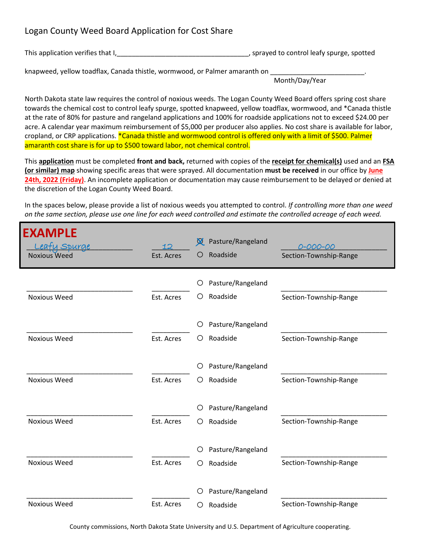### Logan County Weed Board Application for Cost Share

This application verifies that I, 1, 2000, 2000, 2000, 2000, 2000, 2000, 2000, 2000, 2000, 2000, 2000, 2000, 200

knapweed, yellow toadflax, Canada thistle, wormwood, or Palmer amaranth on

Month/Day/Year

North Dakota state law requires the control of noxious weeds. The Logan County Weed Board offers spring cost share towards the chemical cost to control leafy spurge, spotted knapweed, yellow toadflax, wormwood, and \*Canada thistle at the rate of 80% for pasture and rangeland applications and 100% for roadside applications not to exceed \$24.00 per acre. A calendar year maximum reimbursement of \$5,000 per producer also applies. No cost share is available for labor, cropland, or CRP applications. \*Canada thistle and wormwood control is offered only with a limit of \$500. Palmer amaranth cost share is for up to \$500 toward labor, not chemical control.

This **application** must be completed **front and back,** returned with copies of the **receipt for chemical(s)** used and an **FSA (or similar) map** showing specific areas that were sprayed. All documentation **must be received** in our office by **June 24th, 2022 (Friday)**. An incomplete application or documentation may cause reimbursement to be delayed or denied at the discretion of the Logan County Weed Board.

In the spaces below, please provide a list of noxious weeds you attempted to control. *If controlling more than one weed on the same section, please use one line for each weed controlled and estimate the controlled acreage of each weed.*

| <b>EXAMPLE</b><br><u>eafu Spurge</u><br><b>Noxious Weed</b> | Est. Acres | Pasture/Rangeland<br><b>X</b><br>Roadside<br>O | 0-000-00<br>Section-Township-Range |
|-------------------------------------------------------------|------------|------------------------------------------------|------------------------------------|
|                                                             |            | Pasture/Rangeland<br>O                         |                                    |
| <b>Noxious Weed</b>                                         | Est. Acres | Roadside<br>O                                  | Section-Township-Range             |
|                                                             |            | Pasture/Rangeland<br>O                         |                                    |
| <b>Noxious Weed</b>                                         | Est. Acres | Roadside<br>O                                  | Section-Township-Range             |
|                                                             |            | Pasture/Rangeland<br>O                         |                                    |
| <b>Noxious Weed</b>                                         | Est. Acres | Roadside<br>O                                  | Section-Township-Range             |
|                                                             |            | Pasture/Rangeland<br>O                         |                                    |
| <b>Noxious Weed</b>                                         | Est. Acres | Roadside<br>O                                  | Section-Township-Range             |
|                                                             |            | Pasture/Rangeland<br>O                         |                                    |
| <b>Noxious Weed</b>                                         | Est. Acres | Roadside<br>◯                                  | Section-Township-Range             |
|                                                             |            | Pasture/Rangeland<br>O                         |                                    |
| <b>Noxious Weed</b>                                         | Est. Acres | Roadside<br>Ω                                  | Section-Township-Range             |

County commissions, North Dakota State University and U.S. Department of Agriculture cooperating.